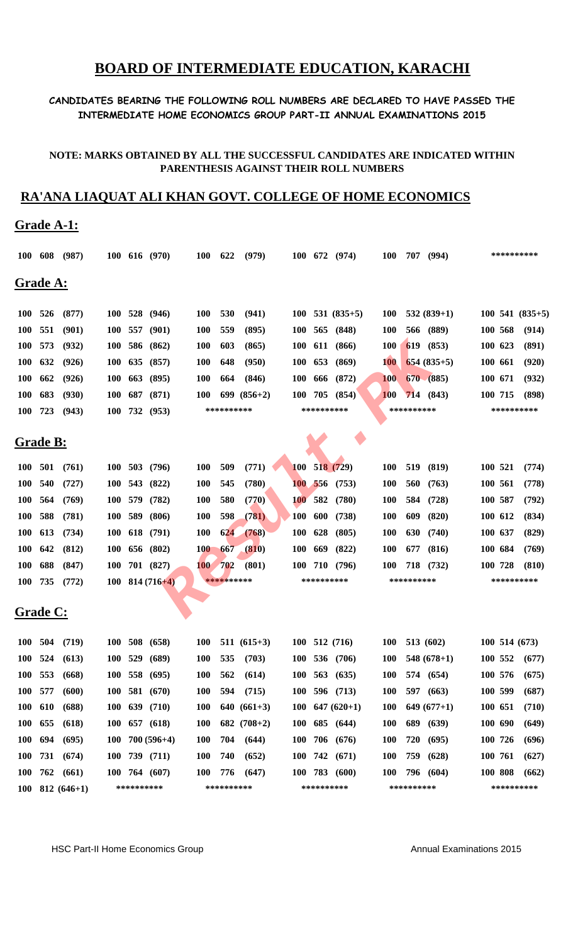# **BOARD OF INTERMEDIATE EDUCATION, KARACHI**

#### **CANDIDATES BEARING THE FOLLOWING ROLL NUMBERS ARE DECLARED TO HAVE PASSED THE INTERMEDIATE HOME ECONOMICS GROUP PART-II ANNUAL EXAMINATIONS 2015**

#### **NOTE: MARKS OBTAINED BY ALL THE SUCCESSFUL CANDIDATES ARE INDICATED WITHIN PARENTHESIS AGAINST THEIR ROLL NUMBERS**

## **RA'ANA LIAQUAT ALI KHAN GOVT. COLLEGE OF HOME ECONOMICS**

### **Grade A-1:**

|            | 100 608          | (987)             |            |         | 100 616 (970)         | <b>100</b> | 622        | (979)         |            |            | 100 672 (974)                 | <b>100</b> |            | 707 (994)    |         | ********** |                     |  |  |
|------------|------------------|-------------------|------------|---------|-----------------------|------------|------------|---------------|------------|------------|-------------------------------|------------|------------|--------------|---------|------------|---------------------|--|--|
|            | <u> Grade A:</u> |                   |            |         |                       |            |            |               |            |            |                               |            |            |              |         |            |                     |  |  |
|            | 100 526          | (877)             |            |         | 100 528 (946)         | <b>100</b> | 530        | (941)         |            |            | $100$ 531 $(835+5)$           | <b>100</b> |            | $532(839+1)$ |         |            | $100$ 541 $(835+5)$ |  |  |
| <b>100</b> | 551              | (901)             | <b>100</b> | 557     | (901)                 | <b>100</b> | 559        | (895)         | <b>100</b> |            | 565 (848)                     | <b>100</b> |            | 566 (889)    | 100 568 |            | (914)               |  |  |
|            | 100 573          | (932)             |            |         | 100 586 (862)         | <b>100</b> | 603        | (865)         |            |            | 100 611 (866)                 | <b>100</b> |            | 619 (853)    | 100 623 |            | (891)               |  |  |
| <b>100</b> | 632              | (926)             | <b>100</b> |         | 635 (857)             | <b>100</b> | 648        | (950)         |            | 100 653    | (869)                         | <b>100</b> |            | $654(835+5)$ | 100 661 |            | (920)               |  |  |
| <b>100</b> | 662              | (926)             | 100        |         | 663 (895)             | <b>100</b> | 664        | (846)         |            | 100 666    | (872)                         | <b>100</b> |            | 670 (885)    | 100 671 |            | (932)               |  |  |
| <b>100</b> | 683              | (930)             | <b>100</b> |         | 687 (871)             | <b>100</b> |            | $699(856+2)$  |            | 100 705    | (854)                         | 100        |            | 714(843)     | 100 715 |            | (898)               |  |  |
| <b>100</b> | 723              | (943)             |            |         | 100 732 (953)         |            | ********** |               |            | ********** |                               |            | ********** |              |         |            | **********          |  |  |
|            | <u> Grade B:</u> |                   |            |         |                       |            |            |               |            |            |                               |            |            |              |         |            |                     |  |  |
| 100 501    |                  | (761)             | <b>100</b> | 503     | (796)                 | <b>100</b> | 509        | (771)         |            |            | $100$ 518 (729)               | <b>100</b> | 519        | (819)        | 100 521 |            | (774)               |  |  |
| <b>100</b> | 540              | (727)             | <b>100</b> | 543     | (822)                 | <b>100</b> | 545        | (780)         |            | 100 556    | (753)                         | <b>100</b> | 560        | (763)        | 100 561 |            | (778)               |  |  |
| <b>100</b> | 564              | (769)             | <b>100</b> |         | 579 (782)             | <b>100</b> | 580        | (770)         | <b>100</b> | 582        | (780)                         | <b>100</b> | 584        | (728)        | 100 587 |            | (792)               |  |  |
| <b>100</b> | 588              | (781)             | <b>100</b> | 589     | (806)                 | <b>100</b> | 598        | (781)         | <b>100</b> | 600        | (738)                         | <b>100</b> | 609        | (820)        | 100 612 |            | (834)               |  |  |
| <b>100</b> | 613              | (734)             | <b>100</b> |         | 618 (791)             | <b>100</b> | 624        | (768)         | <b>100</b> | 628        | (805)                         | <b>100</b> | 630        | (740)        | 100 637 |            | (829)               |  |  |
| <b>100</b> | 642              | (812)             | <b>100</b> |         | 656 (802)             | <b>100</b> | 667        | (810)         | <b>100</b> | 669        | (822)                         | <b>100</b> | 677        | (816)        | 100 684 |            | (769)               |  |  |
| <b>100</b> | 688              | (847)             | <b>100</b> |         | 701 (827)             | <b>100</b> | 702        | (801)         |            | 100 710    | (796)                         | <b>100</b> |            | 718 (732)    | 100 728 |            | (810)               |  |  |
|            | 100 735          | (772)             |            |         | $100$ 814 (716+4)     |            | ********** |               |            | ********** |                               |            | ********** |              |         | ********** |                     |  |  |
|            | <u> Grade C:</u> |                   |            |         |                       |            |            |               |            |            |                               |            |            |              |         |            |                     |  |  |
| <b>100</b> | 504              | (719)             | <b>100</b> | 508     | (658)                 | <b>100</b> |            | $511(615+3)$  |            |            | 100 512 (716)                 | <b>100</b> |            | 513 (602)    |         |            | 100 514 (673)       |  |  |
|            | 100 524          | (613)             |            | 100 529 | (689)                 | <b>100</b> | 535        | (703)         |            |            | 100 536 (706)                 | <b>100</b> |            | $548(678+1)$ | 100 552 |            | (677)               |  |  |
|            | 100 553          | (668)             |            |         | 100 558 (695)         | <b>100</b> | 562        | (614)         |            |            | $100 \t563 \t(635)$           | <b>100</b> |            | 574 (654)    | 100 576 |            | (675)               |  |  |
|            | 100 577          | (600)             |            |         | $100$ 581 (670)       | <b>100</b> | 594        | (715)         |            |            | 100 596 (713)                 | <b>100</b> |            | 597 (663)    | 100 599 |            | (687)               |  |  |
|            | 100 610          | (688)             |            |         | $100$ 639 (710)       | <b>100</b> |            | $640(661+3)$  |            |            | $100 \quad 647 \quad (620+1)$ | <b>100</b> |            | $649(677+1)$ | 100 651 |            | (710)               |  |  |
|            | 100 655          | (618)             |            |         | $100 \t 657 \t (618)$ | <b>100</b> |            | 682 $(708+2)$ |            |            | 100 685 (644)                 | <b>100</b> |            | 689 (639)    | 100 690 |            | (649)               |  |  |
|            | 100 694          | (695)             |            |         | $100$ 700 (596+4)     | <b>100</b> | 704        | (644)         |            |            | 100 706 (676)                 | <b>100</b> |            | 720 (695)    | 100 726 |            | (696)               |  |  |
|            |                  | 100 731 (674)     |            |         | 100 739 (711)         | <b>100</b> | 740        | (652)         |            |            | 100 742 (671)                 | <b>100</b> |            | 759 (628)    | 100 761 |            | (627)               |  |  |
|            |                  | 100 762 (661)     |            |         | $100$ 764 (607)       | <b>100</b> | 776        | (647)         |            |            | 100 783 (600)                 | <b>100</b> |            | 796 (604)    | 100 808 |            | (662)               |  |  |
|            |                  | $100$ 812 (646+1) | ********** |         |                       |            | ********** |               |            | ********** |                               |            | ********** |              |         | ********** |                     |  |  |

HSC Part-II Home Economics Group **Annual Examinations 2015** Annual Examinations 2015